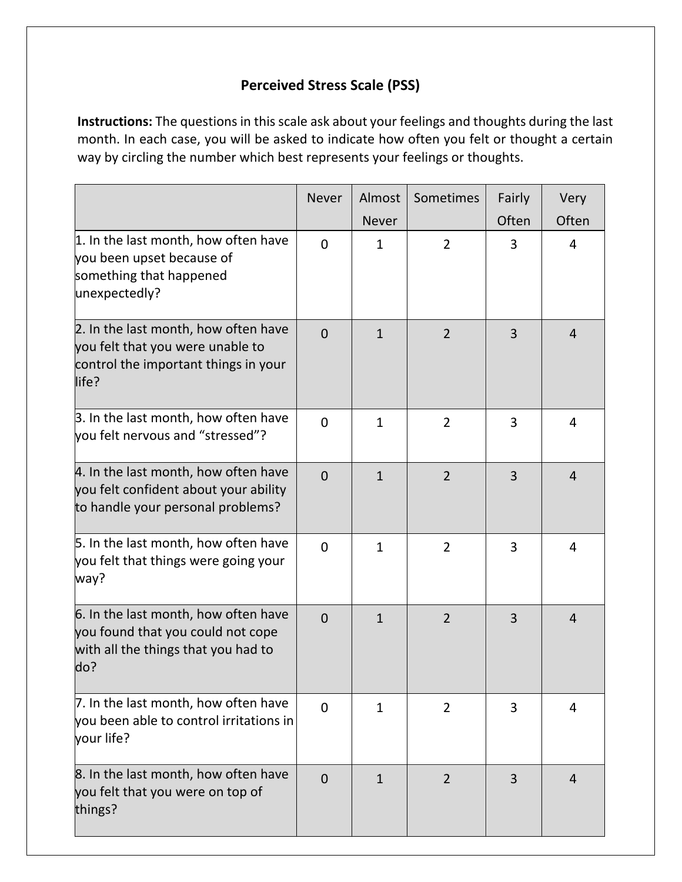## **Perceived Stress Scale (PSS)**

**Instructions:** The questions in this scale ask about your feelings and thoughts during the last month. In each case, you will be asked to indicate how often you felt or thought a certain way by circling the number which best represents your feelings or thoughts.

|                                                                                                                           | <b>Never</b>   | Almost<br><b>Never</b> | Sometimes      | Fairly<br>Often | Very<br>Often  |
|---------------------------------------------------------------------------------------------------------------------------|----------------|------------------------|----------------|-----------------|----------------|
| 1. In the last month, how often have<br>you been upset because of<br>something that happened<br>unexpectedly?             | $\Omega$       | $\mathbf{1}$           | $\overline{2}$ | 3               | 4              |
| 2. In the last month, how often have<br>you felt that you were unable to<br>control the important things in your<br>life? | $\Omega$       | $\mathbf{1}$           | $\overline{2}$ | 3               | $\overline{4}$ |
| 3. In the last month, how often have<br>you felt nervous and "stressed"?                                                  | $\Omega$       | $\mathbf{1}$           | $\overline{2}$ | 3               | 4              |
| 4. In the last month, how often have<br>you felt confident about your ability<br>to handle your personal problems?        | $\Omega$       | $\mathbf{1}$           | $\overline{2}$ | 3               | $\overline{4}$ |
| 5. In the last month, how often have<br>you felt that things were going your<br>way?                                      | $\Omega$       | $\mathbf{1}$           | $\overline{2}$ | 3               | 4              |
| 6. In the last month, how often have<br>you found that you could not cope<br>with all the things that you had to<br>do?   | $\overline{0}$ | $\mathbf{1}$           | $\overline{2}$ | 3               | $\overline{4}$ |
| 7. In the last month, how often have<br>you been able to control irritations in<br>your life?                             | $\Omega$       | $\mathbf{1}$           | $\overline{2}$ | 3               | 4              |
| 8. In the last month, how often have<br>you felt that you were on top of<br>things?                                       | $\overline{0}$ | $\mathbf{1}$           | $\overline{2}$ | 3               | $\overline{4}$ |